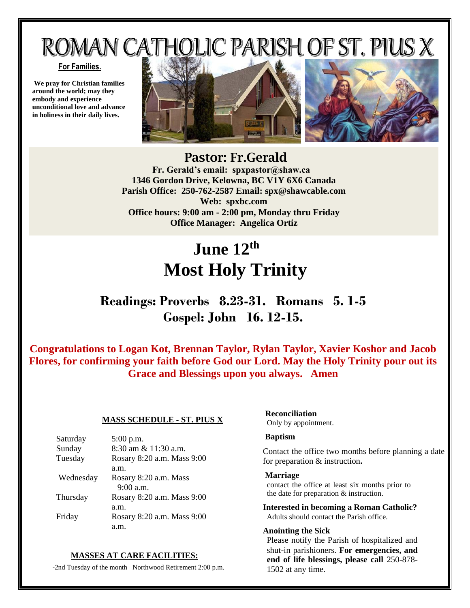# ROMAN CATHOLIC PARISH OF ST. PIUS X

## **For Families.**

**We pray for Christian families around the world; may they embody and experience unconditional love and advance in holiness in their daily lives.**



## Pastor: Fr.Gerald  **Fr. Gerald's email: spxpastor@shaw.ca 1346 Gordon Drive, Kelowna, BC V1Y 6X6 Canada Parish Office: 250-762-2587 Email: [spx@shawcable.com](mailto:spx@shawcable.com) Web: spxbc.com Office hours: 9:00 am - 2:00 pm, Monday thru Friday Office Manager: Angelica Ortiz**

# **June 12th Most Holy Trinity**

# **Readings: Proverbs 8.23-31. Romans 5. 1-5 Gospel: John 16. 12-15.**

**Congratulations to Logan Kot, Brennan Taylor, Rylan Taylor, Xavier Koshor and Jacob Flores, for confirming your faith before God our Lord. May the Holy Trinity pour out its Grace and Blessings upon you always. Amen**

## **MASS SCHEDULE - ST. PIUS X**

| Saturday  | 5:00 p.m.                  |
|-----------|----------------------------|
| Sunday    | 8:30 am & 11:30 a.m.       |
| Tuesday   | Rosary 8:20 a.m. Mass 9:00 |
|           | a.m.                       |
| Wednesday | Rosary 8:20 a.m. Mass      |
|           | $9:00$ a.m.                |
| Thursday  | Rosary 8:20 a.m. Mass 9:00 |
|           | a.m.                       |
| Friday    | Rosary 8:20 a.m. Mass 9:00 |
|           | a.m.                       |

## **MASSES AT CARE FACILITIES:**

-2nd Tuesday of the month Northwood Retirement 2:00 p.m.

## **Reconciliation**

Only by appointment.

## **Baptism**

Contact the office two months before planning a date for preparation & instruction**.**

#### **Marriage**

contact the office at least six months prior to the date for preparation & instruction.

**Interested in becoming a Roman Catholic?** Adults should contact the Parish office.

## **Anointing the Sick**

Please notify the Parish of hospitalized and shut-in parishioners. **For emergencies, and end of life blessings, please call** 250-878- 1502 at any time.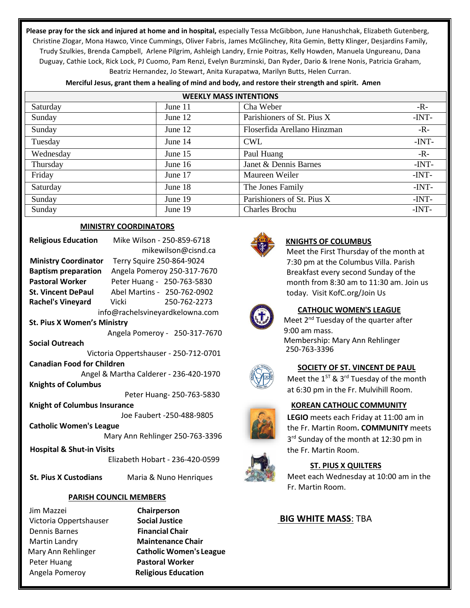**Please pray for the sick and injured at home and in hospital,** especially Tessa McGibbon, June Hanushchak, Elizabeth Gutenberg, Christine Zlogar, Mona Hawco, Vince Cummings, Oliver Fabris, James McGlinchey, Rita Gemin, Betty Klinger, Desjardins Family, Trudy Szulkies, Brenda Campbell, Arlene Pilgrim, Ashleigh Landry, Ernie Poitras, Kelly Howden, Manuela Ungureanu, Dana Duguay, Cathie Lock, Rick Lock, PJ Cuomo, Pam Renzi, Evelyn Burzminski, Dan Ryder, Dario & Irene Nonis, Patricia Graham, Beatriz Hernandez, Jo Stewart, Anita Kurapatwa, Marilyn Butts, Helen Curran.

| <b>WEEKLY MASS INTENTIONS</b> |           |                             |         |
|-------------------------------|-----------|-----------------------------|---------|
| Saturday                      | June 11   | Cha Weber                   | $-R-$   |
| Sunday                        | June $12$ | Parishioners of St. Pius X  | $-INT-$ |
| Sunday                        | June $12$ | Floserfida Arellano Hinzman | $-R-$   |
| Tuesday                       | June $14$ | <b>CWL</b>                  | $-INT-$ |
| Wednesday                     | June 15   | Paul Huang                  | $-R-$   |
| Thursday                      | June 16   | Janet & Dennis Barnes       | $-INT-$ |
| Friday                        | June 17   | Maureen Weiler              | $-INT-$ |
| Saturday                      | June 18   | The Jones Family            | $-INT-$ |
| Sunday                        | June 19   | Parishioners of St. Pius X  | $-INT-$ |
| Sunday                        | June 19   | Charles Brochu              | $-INT-$ |

**Merciful Jesus, grant them a healing of mind and body, and restore their strength and spirit. Amen**

## **MINISTRY COORDINATORS**

| <b>Religious Education</b>             | Mike Wilson - 250-859-6718    |  |
|----------------------------------------|-------------------------------|--|
|                                        | mikewilson@cisnd.ca           |  |
| <b>Ministry Coordinator</b>            | Terry Squire 250-864-9024     |  |
| <b>Baptism preparation</b>             | Angela Pomeroy 250-317-7670   |  |
| Pastoral Worker                        | Peter Huang - 250-763-5830    |  |
| <b>St. Vincent DePaul</b>              | Abel Martins - 250-762-0902   |  |
| <b>Rachel's Vineyard</b>               | Vicki<br>250-762-2273         |  |
| info@rachelsvineyardkelowna.com        |                               |  |
| <b>St. Pius X Women's Ministry</b>     |                               |  |
|                                        | Angela Pomeroy - 250-317-7670 |  |
| <b>Social Outreach</b>                 |                               |  |
| Victoria Oppertshauser - 250-712-0701  |                               |  |
| <b>Canadian Food for Children</b>      |                               |  |
| Angel & Martha Calderer - 236-420-1970 |                               |  |
| <b>Knights of Columbus</b>             |                               |  |
| Peter Huang-250-763-5830               |                               |  |
| <b>Knight of Columbus Insurance</b>    |                               |  |
| Joe Faubert -250-488-9805              |                               |  |
| <b>Catholic Women's League</b>         |                               |  |
| Mary Ann Rehlinger 250-763-3396        |                               |  |
| <b>Hospital &amp; Shut-in Visits</b>   |                               |  |
| Elizabeth Hobart - 236-420-0599        |                               |  |

 **St. Pius X Custodians** Maria & Nuno Henriques

## **PARISH COUNCIL MEMBERS**

Jim Mazzei **Chairperson**  Victoria Oppertshauser **Social Justice** Dennis Barnes **Financial Chair**  Martin Landry **Maintenance Chair**  Peter Huang **Pastoral Worker**  Angela Pomeroy **Religious Education**

Mary Ann Rehlinger **Catholic Women's League**



## **KNIGHTS OF COLUMBUS**

Meet the First Thursday of the month at 7:30 pm at the Columbus Villa. Parish Breakfast every second Sunday of the month from 8:30 am to 11:30 am. Join us today. Visit KofC.org/Join Us



## **CATHOLIC WOMEN'S LEAGUE**

Meet 2<sup>nd</sup> Tuesday of the quarter after 9:00 am mass. Membership: Mary Ann Rehlinger 250-763-3396



## **SOCIETY OF ST. VINCENT DE PAUL**

Meet the  $1^{ST}$  & 3<sup>rd</sup> Tuesday of the month at 6:30 pm in the Fr. Mulvihill Room.

## **KOREAN CATHOLIC COMMUNITY**

**LEGIO** meets each Friday at 11:00 am in the Fr. Martin Room**. COMMUNITY** meets 3<sup>rd</sup> Sunday of the month at 12:30 pm in the Fr. Martin Room.



## **ST. PIUS X QUILTERS**

Meet each Wednesday at 10:00 am in the Fr. Martin Room.

## **BIG WHITE MASS**: TBA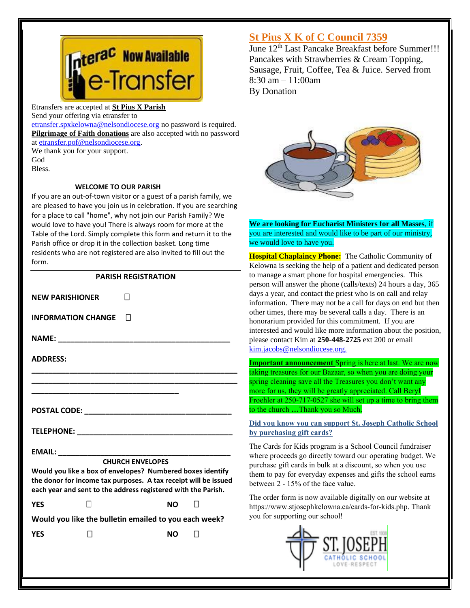

Etransfers are accepted at **St Pius X Parish** Send your offering via etransfer to

[etransfer.spxkelowna@nelsondiocese.org](file:///C:/Users/SPXAdmin/Desktop/Bulletin/Bulletins%202022/etransfer.spxkelowna@nelsondiocese.org) no password is required. **Pilgrimage of Faith donations** are also accepted with no password at [etransfer.pof@nelsondiocese.org.](file:///C:/Users/SPXAdmin/Desktop/Bulletin/Bulletins%202022/etransfer.pof@nelsondiocese.org)

We thank you for your support. God Bless.

## **WELCOME TO OUR PARISH**

If you are an out-of-town visitor or a guest of a parish family, we are pleased to have you join us in celebration. If you are searching for a place to call "home", why not join our Parish Family? We would love to have you! There is always room for more at the Table of the Lord. Simply complete this form and return it to the Parish office or drop it in the collection basket. Long time residents who are not registered are also invited to fill out the form.

## **PARISH REGISTRATION**

**NEW PARISHIONER INFORMATION CHANGE NAME: \_\_\_\_\_\_\_\_\_\_\_\_\_\_\_\_\_\_\_\_\_\_\_\_\_\_\_\_\_\_\_\_\_\_\_\_\_\_\_\_\_ ADDRESS: \_\_\_\_\_\_\_\_\_\_\_\_\_\_\_\_\_\_\_\_\_\_\_\_\_\_\_\_\_\_\_\_\_\_\_\_\_\_\_\_\_\_\_\_\_\_\_\_\_ \_\_\_\_\_\_\_\_\_\_\_\_\_\_\_\_\_\_\_\_\_\_\_\_\_\_\_\_\_\_\_\_\_\_\_\_\_\_\_\_\_\_\_\_\_\_\_\_\_ \_\_\_\_\_\_\_\_\_\_\_\_\_\_\_\_\_\_\_\_\_\_\_\_\_\_\_\_\_\_\_\_\_\_\_ POSTAL CODE:**  $\blacksquare$ **TELEPHONE: \_\_\_\_\_\_\_\_\_\_\_\_\_\_\_\_\_\_\_\_\_\_\_\_\_\_\_\_\_\_\_\_\_\_\_\_\_ EMAIL: \_\_\_\_\_\_\_\_\_\_\_\_\_\_\_\_\_\_\_\_\_\_\_\_\_\_\_\_\_\_\_\_\_\_\_\_\_\_\_\_\_ CHURCH ENVELOPES Would you like a box of envelopes? Numbered boxes identify the donor for income tax purposes. A tax receipt will be issued each year and sent to the address registered with the Parish. YES NO Would you like the bulletin emailed to you each week? YES** □ NO □

## **St Pius X K of C Council 7359**

 $\frac{1}{2}$ Une  $12^{\text{th}}$  Last Pancake Breakfast before Summer!!! Pancakes with Strawberries & Cream Topping, Sausage, Fruit, Coffee, Tea & Juice. Served from 8:30 am – 11:00am By Donation



l **We are looking for Eucharist Ministers for all Masses**, if you are interested and would like to be part of our ministry, we would love to have you.

 other times, there may be several calls a day. There is an honorarium provided for this commitment. If you are **Hospital Chaplaincy Phone:** The Catholic Community of Kelowna is seeking the help of a patient and dedicated person to manage a smart phone for hospital emergencies. This person will answer the phone (calls/texts) 24 hours a day, 365 days a year, and contact the priest who is on call and relay information. There may not be a call for days on end but then interested and would like more information about the position, please contact Kim at **250-448-2725** ext 200 or email [kim.jacobs@nelsondiocese.org.](file:///C:/Users/SPXAdmin/Desktop/Bulletin/Bulletins%202022/kim.jacobs@nelsondiocese.org)

**Important announcement** Spring is here at last. We are now taking treasures for our Bazaar, so when you are doing your spring cleaning save all the Treasures you don't want any more for us, they will be greatly appreciated. Call Beryl Froehler at 250-717-0527 she will set up a time to bring them to the church **…**Thank you so Much.

**Did you know you can support St. Joseph Catholic School by purchasing gift cards?** 

The Cards for Kids program is a School Council fundraiser where proceeds go directly toward our operating budget. We purchase gift cards in bulk at a discount, so when you use them to pay for everyday expenses and gifts the school earns between 2 - 15% of the face value.

The order form is now available digitally on our website at https://www.stjosephkelowna.ca/cards-for-kids.php. Thank you for supporting our school!